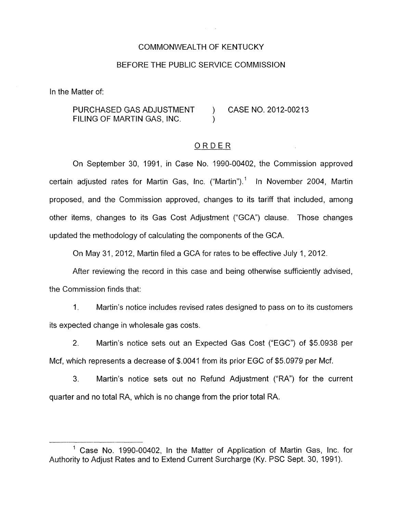## COMMONWEALTH OF KENTUCKY

## BEFORE THE PUBLIC SERVICE COMMISSION

In the Matter of:

PURCHASED GAS ADJUSTMENT ) CASE NO. 2012-00213 FILING OF MARTIN GAS, INC.

## ORDER

On September 30, 1991, in Case No. 1990-00402, the Commission approved certain adjusted rates for Martin Gas, Inc. ("Martin").' In November 2004, Martin proposed, and the Commission approved, changes to its tariff that included, among other items, changes to its Gas Cost Adjustment ("GCA") clause. Those changes updated the methodology of calculating the components of the GCA.

On May 31, 2012, Martin filed a GCA for rates to be effective July 1, 2012.

After reviewing the record in this case and being otherwise sufficiently advised, the Commission finds that:

1. Martin's notice includes revised rates designed to pass on to its customers its expected change in wholesale gas costs.

2. Martin's notice sets out an Expected Gas Cost ("EGC") of \$5.0938 per Mcf, which represents a decrease of \$.0041 from its prior EGC of \$5.0979 per Mcf.

**3.** Martin's notice sets out no Refund Adjustment ("RA") for the current quarter and no total RA, which is no change from the prior total RA.

<sup>&</sup>lt;sup>1</sup> Case No. 1990-00402, In the Matter of Application of Martin Gas, Inc. for Authority to Adjust Rates and to Extend Current Surcharge (Ky. PSC Sept. 30, 1991).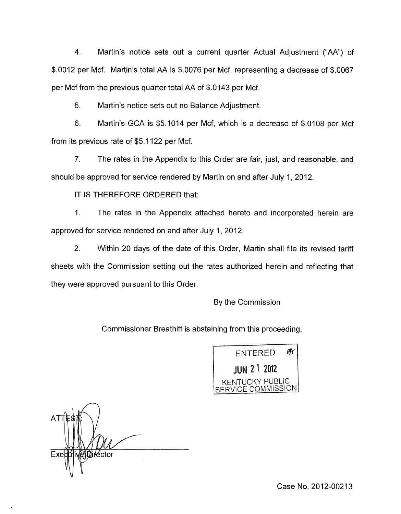4. Martin's notice sets out a current quarter Actual Adjustment ("AA") of \$.0012 per Mcf. Martin's total AA is \$.0076 per Mcf, representing a decrease of \$.0067 per Mcf from the previous quarter total AA of \$.0143 per Mcf.

Martin's notice sets out no Balance Adjustment. 5.

Martin's GCA is \$5.1014 per Mcf, which is a decrease of \$.0108 per Mcf 6. from its previous rate of \$5.1 122 per Mcf.

7. The rates in the Appendix to this Order are fair, just, and reasonable, and should be approved for service rendered by Martin on and after July 1, 2012.

IT IS THEREFORE ORDERED that:

1. The rates in the Appendix attached hereto and incorporated herein are approved for service rendered on and after July 1,2012.

2. Within 20 days of the date of this Order, Martin shall file its revised tariff sheets with the Commission setting out the rates authorized herein and reflecting that they were approved pursuant to this Order.

By the Commission

Commissioner Breathitt is abstaining from this proceeding.

OF **ENTERED JUN 2 1 2012** KENTUCKY PUBLIC SERVICE COMMISSION

**NDirector** Exebuti

Case No. 2012-00213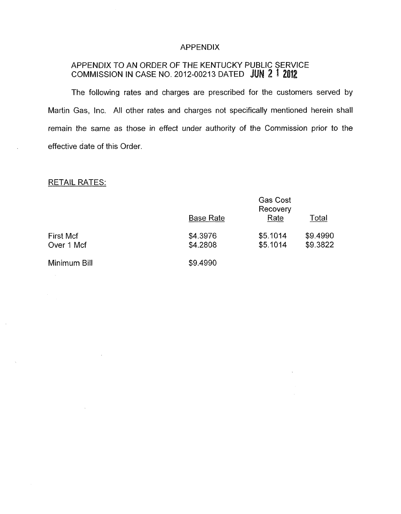#### APPENDIX

# APPENDIX TO AN ORDER OF THE KENTUCKY PUBLIC SERVICE COMMISSION IN CASE NO. 2012-00213 DATED **Ju**

The following rates and charges are prescribed for the customers served by Martin Gas, Inc. All other rates and charges not specifically mentioned herein shall remain the same as those in effect under authority of the Commission prior to the effective date of this Order

# RETAIL RATES:

| <b>RETAIL RATES:</b>    |                      |                                     |                      |
|-------------------------|----------------------|-------------------------------------|----------------------|
|                         | <b>Base Rate</b>     | <b>Gas Cost</b><br>Recovery<br>Rate | Total                |
| First Mcf<br>Over 1 Mcf | \$4.3976<br>\$4.2808 | \$5.1014<br>\$5.1014                | \$9.4990<br>\$9.3822 |
| Minimum Bill            | \$9.4990             |                                     |                      |